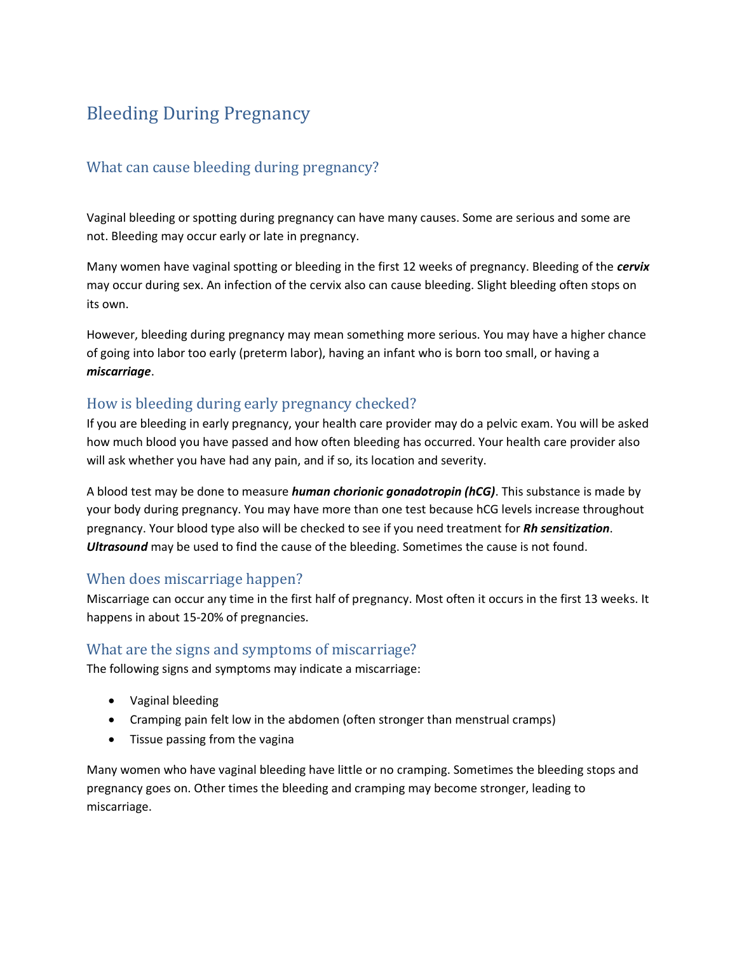# Bleeding During Pregnancy

## What can cause bleeding during pregnancy?

Vaginal bleeding or spotting during pregnancy can have many causes. Some are serious and some are not. Bleeding may occur early or late in pregnancy.

Many women have vaginal spotting or bleeding in the first 12 weeks of pregnancy. Bleeding of the *cervix* may occur during sex. An infection of the cervix also can cause bleeding. Slight bleeding often stops on its own.

However, bleeding during pregnancy may mean something more serious. You may have a higher chance of going into labor too early (preterm labor), having an infant who is born too small, or having a *miscarriage*.

## How is bleeding during early pregnancy checked?

If you are bleeding in early pregnancy, your health care provider may do a pelvic exam. You will be asked how much blood you have passed and how often bleeding has occurred. Your health care provider also will ask whether you have had any pain, and if so, its location and severity.

A blood test may be done to measure *human chorionic gonadotropin (hCG)*. This substance is made by your body during pregnancy. You may have more than one test because hCG levels increase throughout pregnancy. Your blood type also will be checked to see if you need treatment for *Rh sensitization*. *Ultrasound* may be used to find the cause of the bleeding. Sometimes the cause is not found.

## When does miscarriage happen?

Miscarriage can occur any time in the first half of pregnancy. Most often it occurs in the first 13 weeks. It happens in about 15-20% of pregnancies.

## What are the signs and symptoms of miscarriage?

The following signs and symptoms may indicate a miscarriage:

- Vaginal bleeding
- Cramping pain felt low in the abdomen (often stronger than menstrual cramps)
- Tissue passing from the vagina

Many women who have vaginal bleeding have little or no cramping. Sometimes the bleeding stops and pregnancy goes on. Other times the bleeding and cramping may become stronger, leading to miscarriage.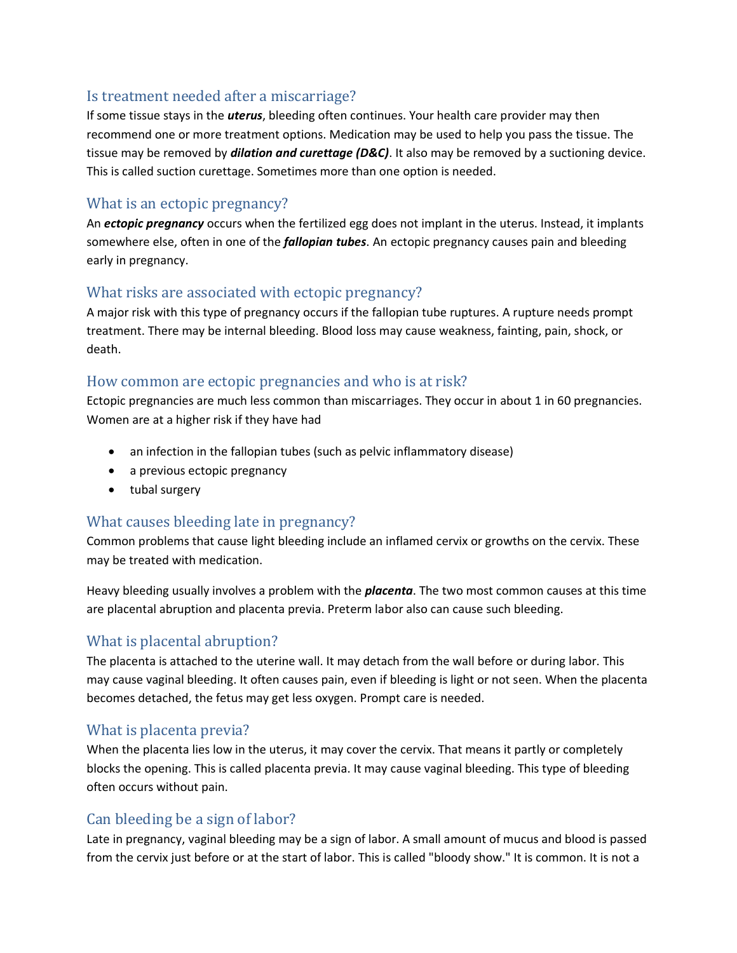#### Is treatment needed after a miscarriage?

If some tissue stays in the *uterus*, bleeding often continues. Your health care provider may then recommend one or more treatment options. Medication may be used to help you pass the tissue. The tissue may be removed by *dilation and curettage (D&C)*. It also may be removed by a suctioning device. This is called suction curettage. Sometimes more than one option is needed.

## What is an ectopic pregnancy?

An *ectopic pregnancy* occurs when the fertilized egg does not implant in the uterus. Instead, it implants somewhere else, often in one of the *fallopian tubes*. An ectopic pregnancy causes pain and bleeding early in pregnancy.

## What risks are associated with ectopic pregnancy?

A major risk with this type of pregnancy occurs if the fallopian tube ruptures. A rupture needs prompt treatment. There may be internal bleeding. Blood loss may cause weakness, fainting, pain, shock, or death.

## How common are ectopic pregnancies and who is at risk?

Ectopic pregnancies are much less common than miscarriages. They occur in about 1 in 60 pregnancies. Women are at a higher risk if they have had

- an infection in the fallopian tubes (such as pelvic inflammatory disease)
- a previous ectopic pregnancy
- tubal surgery

## What causes bleeding late in pregnancy?

Common problems that cause light bleeding include an inflamed cervix or growths on the cervix. These may be treated with medication.

Heavy bleeding usually involves a problem with the *placenta*. The two most common causes at this time are placental abruption and placenta previa. Preterm labor also can cause such bleeding.

# What is placental abruption?

The placenta is attached to the uterine wall. It may detach from the wall before or during labor. This may cause vaginal bleeding. It often causes pain, even if bleeding is light or not seen. When the placenta becomes detached, the fetus may get less oxygen. Prompt care is needed.

## What is placenta previa?

When the placenta lies low in the uterus, it may cover the cervix. That means it partly or completely blocks the opening. This is called placenta previa. It may cause vaginal bleeding. This type of bleeding often occurs without pain.

## Can bleeding be a sign of labor?

Late in pregnancy, vaginal bleeding may be a sign of labor. A small amount of mucus and blood is passed from the cervix just before or at the start of labor. This is called "bloody show." It is common. It is not a